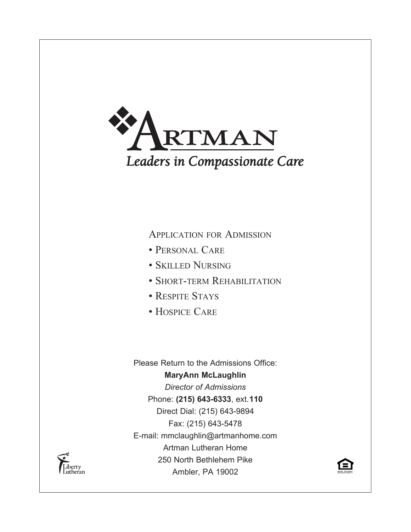

Application for Admission

- Personal Care
- Skilled Nursing
- SHORT-TERM REHABILITATION
- RESPITE STAYS
- Hospice Care

Please Return to the Admissions Office: **MaryAnn McLaughlin** *Director of Admissions* Phone: **(215) 643-6333**, ext.**110** Direct Dial: (215) 643-9894 Fax: (215) 643-5478 E-mail: mmclaughlin@artmanhome.com Artman Lutheran Home 250 North Bethlehem Pike Ambler, PA 19002



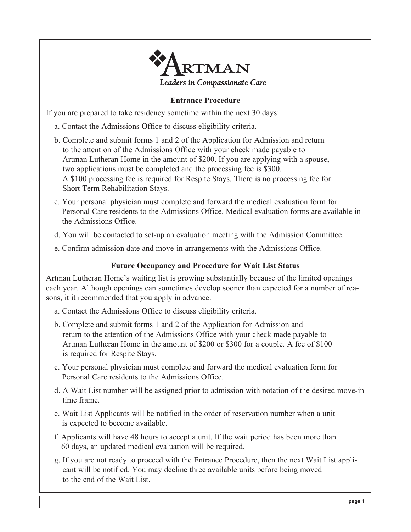

# **Entrance Procedure**

If you are prepared to take residency sometime within the next 30 days:

- a. Contact the Admissions Office to discuss eligibility criteria.
- b. Complete and submit forms 1 and 2 of the Application for Admission and return to the attention of the Admissions Office with your check made payable to Artman Lutheran Home in the amount of \$200. If you are applying with a spouse, two applications must be completed and the processing fee is \$300. A \$100 processing fee is required for Respite Stays. There is no processing fee for Short Term Rehabilitation Stays.
- c. Your personal physician must complete and forward the medical evaluation form for Personal Care residents to the Admissions Office. Medical evaluation forms are available in the Admissions Office.
- d. You will be contacted to set-up an evaluation meeting with the Admission Committee.
- e. Confirm admission date and move-in arrangements with the Admissions Office.

### **Future Occupancy and Procedure for Wait List Status**

Artman Lutheran Home's waiting list is growing substantially because of the limited openings each year. Although openings can sometimes develop sooner than expected for a number of reasons, it it recommended that you apply in advance.

- a. Contact the Admissions Office to discuss eligibility criteria.
- b. Complete and submit forms 1 and 2 of the Application for Admission and return to the attention of the Admissions Office with your check made payable to Artman Lutheran Home in the amount of \$200 or \$300 for a couple. A fee of \$100 is required for Respite Stays.
- c. Your personal physician must complete and forward the medical evaluation form for Personal Care residents to the Admissions Office.
- d. A Wait List number will be assigned prior to admission with notation of the desired move-in time frame.
- e. Wait List Applicants will be notified in the order of reservation number when a unit is expected to become available.
- f. Applicants will have 48 hours to accept a unit. If the wait period has been more than 60 days, an updated medical evaluation will be required.
- g. If you are not ready to proceed with the Entrance Procedure, then the next Wait List applicant will be notified. You may decline three available units before being moved to the end of the Wait List.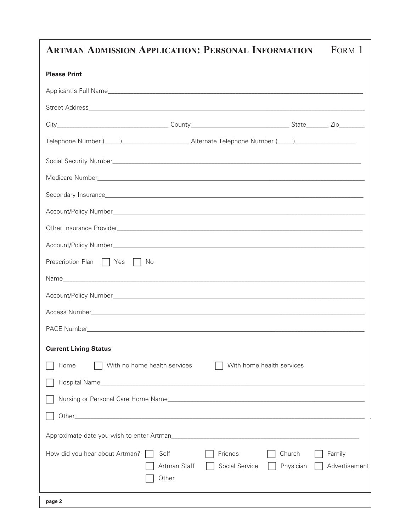| <b>ARTMAN ADMISSION APPLICATION: PERSONAL INFORMATION</b>                                                                                                                                                                      |                               |                           |                           | FORM 1                 |
|--------------------------------------------------------------------------------------------------------------------------------------------------------------------------------------------------------------------------------|-------------------------------|---------------------------|---------------------------|------------------------|
| <b>Please Print</b>                                                                                                                                                                                                            |                               |                           |                           |                        |
|                                                                                                                                                                                                                                |                               |                           |                           |                        |
|                                                                                                                                                                                                                                |                               |                           |                           |                        |
|                                                                                                                                                                                                                                |                               |                           |                           |                        |
| Telephone Number (Comparison of Alternate Telephone Number (Comparison of Telephone Number (Comparison of Telephone Number (Comparison of Telephone Number (Comparison of Telephone Number (Comparison of Telephone Number (Co |                               |                           |                           |                        |
|                                                                                                                                                                                                                                |                               |                           |                           |                        |
|                                                                                                                                                                                                                                |                               |                           |                           |                        |
|                                                                                                                                                                                                                                |                               |                           |                           |                        |
|                                                                                                                                                                                                                                |                               |                           |                           |                        |
|                                                                                                                                                                                                                                |                               |                           |                           |                        |
|                                                                                                                                                                                                                                |                               |                           |                           |                        |
| Prescription Plan   Yes   No                                                                                                                                                                                                   |                               |                           |                           |                        |
|                                                                                                                                                                                                                                |                               |                           |                           |                        |
|                                                                                                                                                                                                                                |                               |                           |                           |                        |
|                                                                                                                                                                                                                                |                               |                           |                           |                        |
|                                                                                                                                                                                                                                |                               |                           |                           |                        |
| <b>Current Living Status</b>                                                                                                                                                                                                   |                               |                           |                           |                        |
| Home                                                                                                                                                                                                                           | With no home health services  |                           | With home health services |                        |
|                                                                                                                                                                                                                                |                               |                           |                           |                        |
|                                                                                                                                                                                                                                |                               |                           |                           |                        |
|                                                                                                                                                                                                                                |                               |                           |                           |                        |
|                                                                                                                                                                                                                                |                               |                           |                           |                        |
| How did you hear about Artman?                                                                                                                                                                                                 | Self<br>Artman Staff<br>Other | Friends<br>Social Service | Church<br>Physician       | Family<br>Advertisemen |
| page 2                                                                                                                                                                                                                         |                               |                           |                           |                        |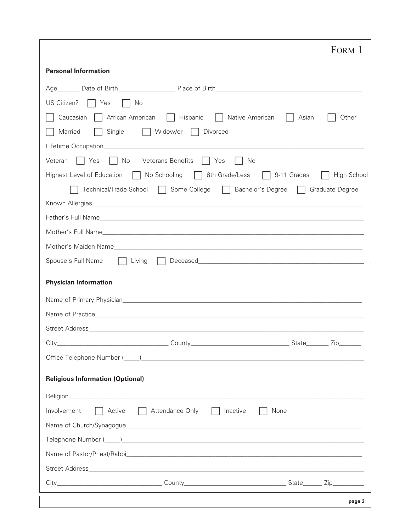| FORM 1                                                                                 |  |
|----------------------------------------------------------------------------------------|--|
| <b>Personal Information</b>                                                            |  |
|                                                                                        |  |
| US Citizen?<br>$\vert$   Yes<br>I No                                                   |  |
| Caucasian<br>African American   Hispanic<br>    Native American<br>Other<br>Asian      |  |
| Widow/er   Divorced<br>Married<br>Single                                               |  |
|                                                                                        |  |
| $\vert$   Yes<br>No Veterans Benefits   Yes<br>Veteran<br>No                           |  |
| Highest Level of Education   No Schooling   8th Grade/Less   9-11 Grades   High School |  |
| Technical/Trade School   Some College   Bachelor's Degree   Graduate Degree            |  |
|                                                                                        |  |
|                                                                                        |  |
|                                                                                        |  |
|                                                                                        |  |
| Spouse's Full Name<br>$\vert \vert$ Living                                             |  |
| <b>Physician Information</b>                                                           |  |
|                                                                                        |  |
|                                                                                        |  |
|                                                                                        |  |
| $City_$                                                                                |  |
|                                                                                        |  |
| <b>Religious Information (Optional)</b>                                                |  |
|                                                                                        |  |
| Active   Attendance Only<br>Involvement<br>Inactive<br>None                            |  |
|                                                                                        |  |
|                                                                                        |  |
|                                                                                        |  |
|                                                                                        |  |
|                                                                                        |  |
| page 3                                                                                 |  |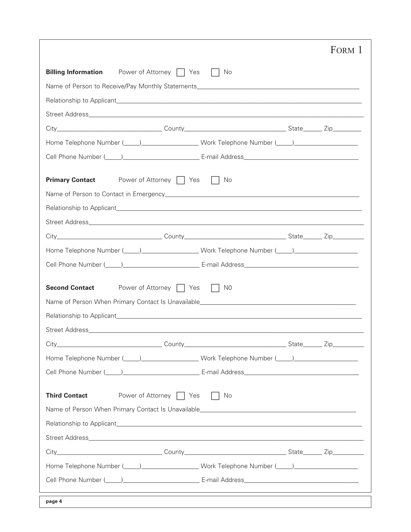|                                                                                                                                                                                                                                | FORM 1 |
|--------------------------------------------------------------------------------------------------------------------------------------------------------------------------------------------------------------------------------|--------|
| <b>Billing Information</b><br>Power of Attorney □ Yes<br>- No                                                                                                                                                                  |        |
|                                                                                                                                                                                                                                |        |
|                                                                                                                                                                                                                                |        |
|                                                                                                                                                                                                                                |        |
|                                                                                                                                                                                                                                |        |
| Home Telephone Number (Compared Line 2010 Work Telephone Number (Compared Line 2010 Line 2010 Months 2010 Line 2010 Months 2010 Months 2010 Months 2010 Months 2010 Months 2010 Months 2010 Months 2010 Months 2010 Months 201 |        |
| Cell Phone Number (Company Company Company E-mail Address Company Company Company Company Company Company Compa                                                                                                                |        |
| <b>Primary Contact</b><br>Power of Attorney     Yes<br>No<br>$\perp$                                                                                                                                                           |        |
|                                                                                                                                                                                                                                |        |
|                                                                                                                                                                                                                                |        |
|                                                                                                                                                                                                                                |        |
|                                                                                                                                                                                                                                |        |
| Home Telephone Number (Compared to Law 2011) Work Telephone Number (Compared to Law 2012)                                                                                                                                      |        |
| Cell Phone Number (Company Company Company E-mail Address Company Company Company Company Company Company Compa                                                                                                                |        |
| Power of Attorney   Yes<br><b>Second Contact</b><br>$\vert$ $\vert$ NO                                                                                                                                                         |        |
|                                                                                                                                                                                                                                |        |
|                                                                                                                                                                                                                                |        |
|                                                                                                                                                                                                                                |        |
|                                                                                                                                                                                                                                |        |
| Home Telephone Number (California Communication of Work Telephone Number (California Communication of the Unit                                                                                                                 |        |
| Cell Phone Number (Company Company Company E-mail Address Company Company Company Company Company Company Company Company Company Company Company Company Company Company Company Company Company Company Company Company Comp |        |
| Power of Attorney   Yes<br><b>Third Contact</b><br>No                                                                                                                                                                          |        |
|                                                                                                                                                                                                                                |        |
|                                                                                                                                                                                                                                |        |
|                                                                                                                                                                                                                                |        |
|                                                                                                                                                                                                                                |        |
| Home Telephone Number (Compared Line 2010 Work Telephone Number (Compared Line 2010 Line 2010 Months 2010 Line 2010 Months 2010 Months 2010 Months 2010 Months 2010 Months 2010 Months 2010 Months 2010 Months 2010 Months 201 |        |
| Cell Phone Number (Collection 2010) [2010] [2010] [2010] [2010] [2010] [2010] [2010] [2010] [2010] [2010] [2010                                                                                                                |        |
|                                                                                                                                                                                                                                |        |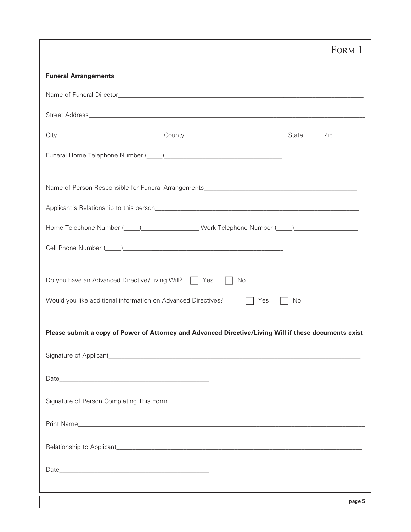|                             |                                                                                                                                                                                                                                |           | FORM 1 |
|-----------------------------|--------------------------------------------------------------------------------------------------------------------------------------------------------------------------------------------------------------------------------|-----------|--------|
| <b>Funeral Arrangements</b> |                                                                                                                                                                                                                                |           |        |
|                             |                                                                                                                                                                                                                                |           |        |
|                             |                                                                                                                                                                                                                                |           |        |
|                             |                                                                                                                                                                                                                                |           |        |
|                             | Funeral Home Telephone Number (Company Company Company Company Company Company Company Company Company Company                                                                                                                 |           |        |
|                             |                                                                                                                                                                                                                                |           |        |
|                             |                                                                                                                                                                                                                                |           |        |
|                             | Home Telephone Number (Compared Line 2010 Work Telephone Number (Compared Line 2010 Line 2010 Months 2010 Line 2010 Months 2010 Months 2010 Months 2010 Months 2010 Months 2010 Months 2010 Months 2010 Months 2010 Months 201 |           |        |
|                             | Cell Phone Number (Company Company Company Company Company Company Company Company Company Company Company Company Company Company Company Company Company Company Company Company Company Company Company Company Company Com |           |        |
|                             | Do you have an Advanced Directive/Living Will?   Yes                                                                                                                                                                           | No        |        |
|                             | Would you like additional information on Advanced Directives?                                                                                                                                                                  | Yes<br>No |        |
|                             | Please submit a copy of Power of Attorney and Advanced Directive/Living Will if these documents exist                                                                                                                          |           |        |
|                             |                                                                                                                                                                                                                                |           |        |
|                             |                                                                                                                                                                                                                                |           |        |
|                             |                                                                                                                                                                                                                                |           |        |
|                             |                                                                                                                                                                                                                                |           |        |
|                             |                                                                                                                                                                                                                                |           |        |
|                             |                                                                                                                                                                                                                                |           |        |
|                             |                                                                                                                                                                                                                                |           |        |
|                             |                                                                                                                                                                                                                                |           | page 5 |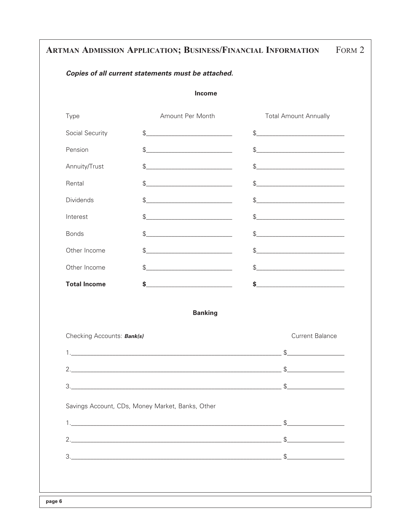# ARTMAN ADMISSION APPLICATION; BUSINESS/FINANCIAL INFORMATION FORM 2

### Copies of all current statements must be attached.

#### Income

| Type                             | Amount Per Month                                          | <b>Total Amount Annually</b>                                                                                                                                                                                                                                                                                                                                                                                                                                                                                                                                                                         |
|----------------------------------|-----------------------------------------------------------|------------------------------------------------------------------------------------------------------------------------------------------------------------------------------------------------------------------------------------------------------------------------------------------------------------------------------------------------------------------------------------------------------------------------------------------------------------------------------------------------------------------------------------------------------------------------------------------------------|
| Social Security                  | $\mathsf{\$} \underline{\hspace{1cm} }$                   | $\mathsf{S}\underline{\hspace{2.5cm}}\underline{\hspace{2.5cm}}\underline{\hspace{2.5cm}}\underline{\hspace{2.5cm}}\underline{\hspace{2.5cm}}\underline{\hspace{2.5cm}}\underline{\hspace{2.5cm}}\underline{\hspace{2.5cm}}\underline{\hspace{2.5cm}}\underline{\hspace{2.5cm}}\underline{\hspace{2.5cm}}\underline{\hspace{2.5cm}}\underline{\hspace{2.5cm}}\underline{\hspace{2.5cm}}\underline{\hspace{2.5cm}}\underline{\hspace{2.5cm}}\underline{\hspace{2.5cm}}\underline{\hspace{2.5cm}}\underline{\hspace{2.5cm}}\underline{\hspace{$                                                        |
| Pension                          |                                                           | \$                                                                                                                                                                                                                                                                                                                                                                                                                                                                                                                                                                                                   |
| Annuity/Trust                    | \$                                                        | $\qquad \qquad \, {\displaystyle \textcircled{S_{\textit{}}}} \qquad \qquad {\displaystyle \textcircled{S_{\textit{}}}} \qquad \qquad {\displaystyle \textcircled{S_{\textit{}}}} \qquad \qquad {\displaystyle \textcircled{S_{\textit{}}}} \qquad \qquad {\displaystyle \textcircled{S_{\textit{}}}} \qquad \qquad {\displaystyle \textcircled{S_{\textit{}}}} \qquad \qquad {\displaystyle \textcircled{S_{\textit{}}}} \qquad \qquad {\displaystyle \textcircled{S_{\textit{}}}} \qquad \qquad {\displaystyle \textcircled{S_{\textit{}}}} \qquad \qquad {\displaystyle \textcircled{S_{\textit{$ |
| Rental                           | \$                                                        | \$                                                                                                                                                                                                                                                                                                                                                                                                                                                                                                                                                                                                   |
| <b>Dividends</b>                 | \$                                                        | $\quad \  \  \, \text{\normalsize{$\$}} \qquad \qquad \  \  \, \text{\normalsize{$\bullet$}} \qquad \qquad \  \  \, \text{\normalsize{$\bullet$}} \qquad \qquad \  \, \text{\normalsize{$\bullet$}} \qquad \qquad \  \, \text{\normalsize{$\bullet$}} \qquad \qquad \  \, \text{\normalsize{$\bullet$}} \qquad \qquad \  \, \text{\normalsize{$\bullet$}} \qquad \qquad \  \, \text{\normalsize{$\bullet$}} \qquad \qquad \  \, \text{\normalsize{$\bullet$}} \qquad \qquad \  \, \text{\normalsize{$\bullet$}} \qquad \qquad \  \$                                                                  |
| Interest                         | $\mathsf{S} \hspace{0.03in} \underbrace{\hspace{0.03in}}$ | $\mathsf{S}\underline{\hspace{2.5cm}}\underline{\hspace{2.5cm}}\underline{\hspace{2.5cm}}\underline{\hspace{2.5cm}}\underline{\hspace{2.5cm}}\underline{\hspace{2.5cm}}\underline{\hspace{2.5cm}}\underline{\hspace{2.5cm}}\underline{\hspace{2.5cm}}\underline{\hspace{2.5cm}}\underline{\hspace{2.5cm}}\underline{\hspace{2.5cm}}\underline{\hspace{2.5cm}}\underline{\hspace{2.5cm}}\underline{\hspace{2.5cm}}\underline{\hspace{2.5cm}}\underline{\hspace{2.5cm}}\underline{\hspace{2.5cm}}\underline{\hspace{2.5cm}}\underline{\hspace{$                                                        |
| <b>Bonds</b>                     | $\frac{1}{2}$                                             | $\frac{1}{2}$                                                                                                                                                                                                                                                                                                                                                                                                                                                                                                                                                                                        |
| Other Income                     | S                                                         |                                                                                                                                                                                                                                                                                                                                                                                                                                                                                                                                                                                                      |
| Other Income                     | \$                                                        | \$                                                                                                                                                                                                                                                                                                                                                                                                                                                                                                                                                                                                   |
| <b>Total Income</b>              | $\frac{1}{2}$                                             |                                                                                                                                                                                                                                                                                                                                                                                                                                                                                                                                                                                                      |
|                                  | <b>Banking</b>                                            |                                                                                                                                                                                                                                                                                                                                                                                                                                                                                                                                                                                                      |
| Chooking Accounts <b>Bentlel</b> |                                                           | Curront Polongo                                                                                                                                                                                                                                                                                                                                                                                                                                                                                                                                                                                      |

| CHECKING ACCOUNTS. Dank(S)                       | Current Dalarice |
|--------------------------------------------------|------------------|
|                                                  |                  |
|                                                  |                  |
|                                                  |                  |
|                                                  |                  |
|                                                  |                  |
|                                                  |                  |
| Savings Account, CDs, Money Market, Banks, Other |                  |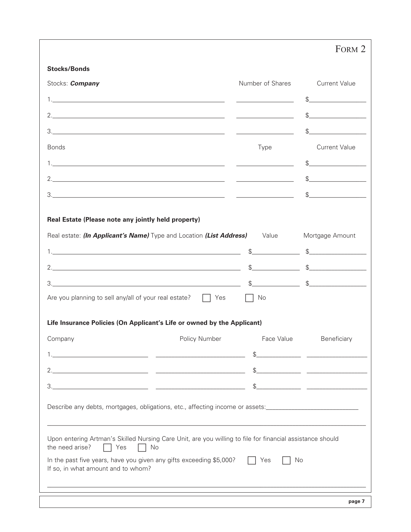|                                                                        |                                                                                                                 |                                                     | FORM <sub>2</sub>                                                                                                                                                                                                                                                                                                                                                   |
|------------------------------------------------------------------------|-----------------------------------------------------------------------------------------------------------------|-----------------------------------------------------|---------------------------------------------------------------------------------------------------------------------------------------------------------------------------------------------------------------------------------------------------------------------------------------------------------------------------------------------------------------------|
| <b>Stocks/Bonds</b>                                                    |                                                                                                                 |                                                     |                                                                                                                                                                                                                                                                                                                                                                     |
| Stocks: <i>Company</i>                                                 |                                                                                                                 | Number of Shares                                    | <b>Current Value</b>                                                                                                                                                                                                                                                                                                                                                |
|                                                                        |                                                                                                                 |                                                     | $\mathbb S$                                                                                                                                                                                                                                                                                                                                                         |
|                                                                        |                                                                                                                 |                                                     |                                                                                                                                                                                                                                                                                                                                                                     |
|                                                                        |                                                                                                                 |                                                     | \$                                                                                                                                                                                                                                                                                                                                                                  |
| <b>Bonds</b>                                                           |                                                                                                                 | Type                                                | <b>Current Value</b>                                                                                                                                                                                                                                                                                                                                                |
|                                                                        |                                                                                                                 |                                                     | $S$ and $S$ and $S$ and $S$ and $S$ and $S$ and $S$ and $S$ and $S$ and $S$ and $S$ and $S$ and $S$ and $S$ and $S$ and $S$ and $S$ and $S$ and $S$ and $S$ and $S$ and $S$ and $S$ and $S$ and $S$ and $S$ and $S$ and $S$ a                                                                                                                                       |
|                                                                        |                                                                                                                 |                                                     | $\begin{picture}(20,10) \put(0,0){\vector(1,0){100}} \put(15,0){\vector(1,0){100}} \put(15,0){\vector(1,0){100}} \put(15,0){\vector(1,0){100}} \put(15,0){\vector(1,0){100}} \put(15,0){\vector(1,0){100}} \put(15,0){\vector(1,0){100}} \put(15,0){\vector(1,0){100}} \put(15,0){\vector(1,0){100}} \put(15,0){\vector(1,0){100}} \put(15,0){\vector(1,0){100}} \$ |
|                                                                        |                                                                                                                 | <u> 1980 - Jan Barbara Barat, politik politik (</u> | $\mathbb{S}$ and $\mathbb{S}$                                                                                                                                                                                                                                                                                                                                       |
|                                                                        |                                                                                                                 |                                                     |                                                                                                                                                                                                                                                                                                                                                                     |
|                                                                        | Yes                                                                                                             | No                                                  |                                                                                                                                                                                                                                                                                                                                                                     |
|                                                                        | Life Insurance Policies (On Applicant's Life or owned by the Applicant)<br>Policy Number                        | Face Value                                          | Beneficiary                                                                                                                                                                                                                                                                                                                                                         |
|                                                                        |                                                                                                                 | $\mathfrak{L}$                                      |                                                                                                                                                                                                                                                                                                                                                                     |
|                                                                        |                                                                                                                 | \$                                                  |                                                                                                                                                                                                                                                                                                                                                                     |
| 3.<br>Are you planning to sell any/all of your real estate?<br>Company |                                                                                                                 | \$                                                  | $\frac{1}{2}$                                                                                                                                                                                                                                                                                                                                                       |
|                                                                        | Describe any debts, mortgages, obligations, etc., affecting income or assets:______________________             |                                                     |                                                                                                                                                                                                                                                                                                                                                                     |
| the need arise?<br>Yes                                                 | Upon entering Artman's Skilled Nursing Care Unit, are you willing to file for financial assistance should<br>No |                                                     |                                                                                                                                                                                                                                                                                                                                                                     |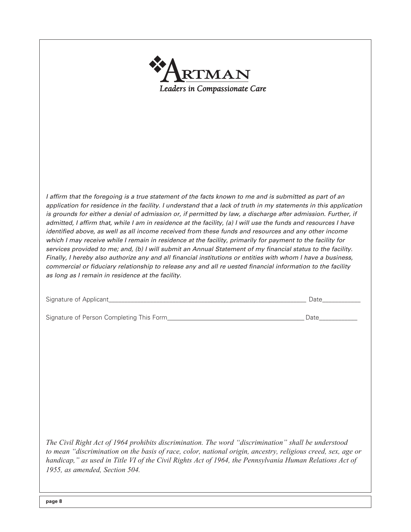| RTMAN<br>Leaders in Compassionate Care                                                                                                                                                                                                                                                                                                                                                                                                                                                                                                                                                                                                                                                                                                                                                                                                                                                                                                                                                                                                                                                    |      |
|-------------------------------------------------------------------------------------------------------------------------------------------------------------------------------------------------------------------------------------------------------------------------------------------------------------------------------------------------------------------------------------------------------------------------------------------------------------------------------------------------------------------------------------------------------------------------------------------------------------------------------------------------------------------------------------------------------------------------------------------------------------------------------------------------------------------------------------------------------------------------------------------------------------------------------------------------------------------------------------------------------------------------------------------------------------------------------------------|------|
|                                                                                                                                                                                                                                                                                                                                                                                                                                                                                                                                                                                                                                                                                                                                                                                                                                                                                                                                                                                                                                                                                           |      |
| I affirm that the foregoing is a true statement of the facts known to me and is submitted as part of an<br>application for residence in the facility. I understand that a lack of truth in my statements in this application<br>is grounds for either a denial of admission or, if permitted by law, a discharge after admission. Further, if<br>admitted, I affirm that, while I am in residence at the facility, (a) I will use the funds and resources I have<br>identified above, as well as all income received from these funds and resources and any other income<br>which I may receive while I remain in residence at the facility, primarily for payment to the facility for<br>services provided to me; and, (b) I will submit an Annual Statement of my financial status to the facility.<br>Finally, I hereby also authorize any and all financial institutions or entities with whom I have a business,<br>commercial or fiduciary relationship to release any and all re uested financial information to the facility<br>as long as I remain in residence at the facility. |      |
|                                                                                                                                                                                                                                                                                                                                                                                                                                                                                                                                                                                                                                                                                                                                                                                                                                                                                                                                                                                                                                                                                           | Date |
|                                                                                                                                                                                                                                                                                                                                                                                                                                                                                                                                                                                                                                                                                                                                                                                                                                                                                                                                                                                                                                                                                           | Date |
|                                                                                                                                                                                                                                                                                                                                                                                                                                                                                                                                                                                                                                                                                                                                                                                                                                                                                                                                                                                                                                                                                           |      |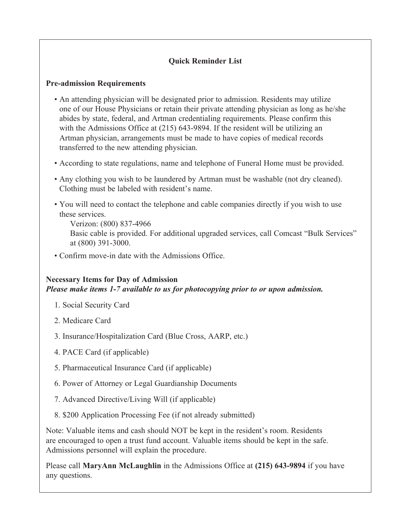# **Quick Reminder List**

## **Pre-admission Requirements**

- An attending physician will be designated prior to admission. Residents may utilize one of our House Physicians or retain their private attending physician as long as he/she abides by state, federal, and Artman credentialing requirements. Please confirm this with the Admissions Office at (215) 643-9894. If the resident will be utilizing an Artman physician, arrangements must be made to have copies of medical records transferred to the new attending physician.
- According to state regulations, name and telephone of Funeral Home must be provided.
- Any clothing you wish to be laundered by Artman must be washable (not dry cleaned). Clothing must be labeled with resident's name.
- You will need to contact the telephone and cable companies directly if you wish to use these services.
	- Verizon: (800) 837-4966 Basic cable is provided. For additional upgraded services, call Comcast "Bulk Services" at (800) 391-3000.
- Confirm move-in date with the Admissions Office.

# **Necessary Items for Day of Admission** *Please make items 1-7 available to us for photocopying prior to or upon admission.*

- 1. Social Security Card
- 2. Medicare Card
- 3. Insurance/Hospitalization Card (Blue Cross, AARP, etc.)
- 4. PACE Card (if applicable)
- 5. Pharmaceutical Insurance Card (if applicable)
- 6. Power of Attorney or Legal Guardianship Documents
- 7. Advanced Directive/Living Will (if applicable)
- 8. \$200 Application Processing Fee (if not already submitted)

Note: Valuable items and cash should NOT be kept in the resident's room. Residents are encouraged to open a trust fund account. Valuable items should be kept in the safe. Admissions personnel will explain the procedure.

Please call **MaryAnn McLaughlin** in the Admissions Office at **(215) 643-9894** if you have any questions.